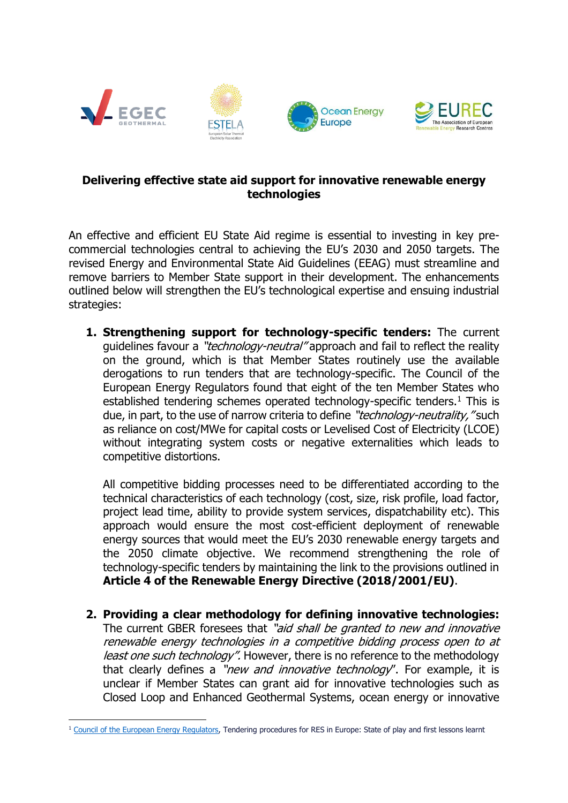



## **Delivering effective state aid support for innovative renewable energy technologies**

An effective and efficient EU State Aid regime is essential to investing in key precommercial technologies central to achieving the EU's 2030 and 2050 targets. The revised Energy and Environmental State Aid Guidelines (EEAG) must streamline and remove barriers to Member State support in their development. The enhancements outlined below will strengthen the EU's technological expertise and ensuing industrial strategies:

**1. Strengthening support for technology-specific tenders:** The current guidelines favour a "*technology-neutral*" approach and fail to reflect the reality on the ground, which is that Member States routinely use the available derogations to run tenders that are technology-specific. The Council of the European Energy Regulators found that eight of the ten Member States who established tendering schemes operated technology-specific tenders.<sup>1</sup> This is due, in part, to the use of narrow criteria to define "*technology-neutrality*, "such as reliance on cost/MWe for capital costs or Levelised Cost of Electricity (LCOE) without integrating system costs or negative externalities which leads to competitive distortions.

All competitive bidding processes need to be differentiated according to the technical characteristics of each technology (cost, size, risk profile, load factor, project lead time, ability to provide system services, dispatchability etc). This approach would ensure the most cost-efficient deployment of renewable energy sources that would meet the EU's 2030 renewable energy targets and the 2050 climate objective. We recommend strengthening the role of technology-specific tenders by maintaining the link to the provisions outlined in **Article 4 of the Renewable Energy Directive (2018/2001/EU)**.

**2. Providing a clear methodology for defining innovative technologies:**  The current GBER foresees that "aid shall be granted to new and innovative renewable energy technologies in a competitive bidding process open to at least one such technology". However, there is no reference to the methodology that clearly defines a "new and innovative technology". For example, it is unclear if Member States can grant aid for innovative technologies such as Closed Loop and Enhanced Geothermal Systems, ocean energy or innovative

<sup>&</sup>lt;sup>1</sup> Council [of the European Energy Regulators,](https://www.ceer.eu/documents/104400/-/-/167af87c-5472-230b-4a19-f68042d58ea8) Tendering procedures for RES in Europe: State of play and first lessons learnt